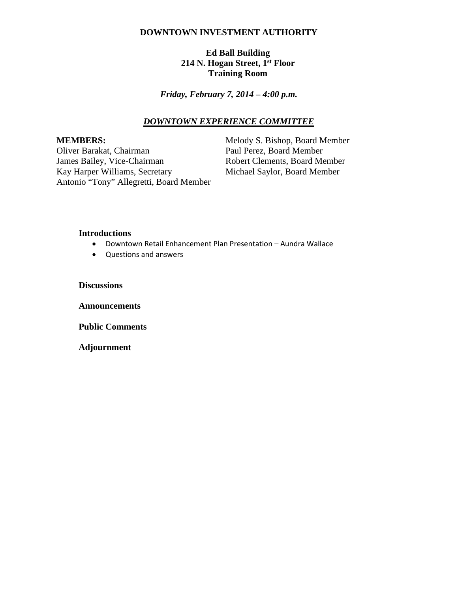### **DOWNTOWN INVESTMENT AUTHORITY**

# **Ed Ball Building 214 N. Hogan Street, 1st Floor Training Room**

*Friday, February 7, 2014 – 4:00 p.m.*

### *DOWNTOWN EXPERIENCE COMMITTEE*

Oliver Barakat, Chairman<br>James Bailey, Vice-Chairman Kay Harper Williams, Secretary Michael Saylor, Board Member Antonio "Tony" Allegretti, Board Member

**MEMBERS:**<br>
Oliver Barakat, Chairman<br>
Paul Perez, Board Member<br>
Paul Perez, Board Member Robert Clements, Board Member

#### **Introductions**

- Downtown Retail Enhancement Plan Presentation Aundra Wallace
- Questions and answers

**Discussions**

**Announcements**

**Public Comments**

**Adjournment**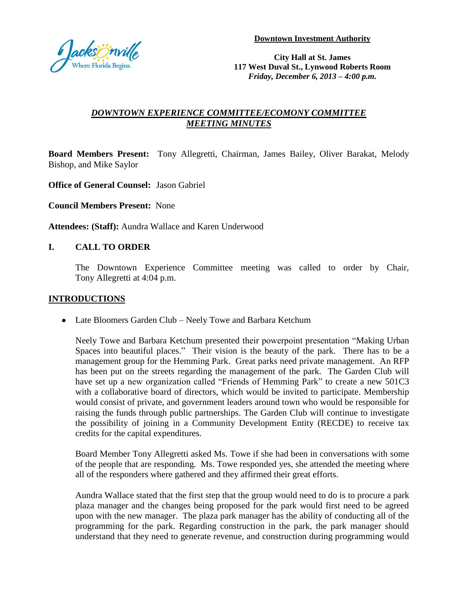

**City Hall at St. James 117 West Duval St., Lynwood Roberts Room** *Friday, December 6, 2013 – 4:00 p.m.*

# *DOWNTOWN EXPERIENCE COMMITTEE/ECOMONY COMMITTEE MEETING MINUTES*

**Board Members Present:** Tony Allegretti, Chairman, James Bailey, Oliver Barakat, Melody Bishop, and Mike Saylor

**Office of General Counsel:** Jason Gabriel

**Council Members Present:** None

**Attendees: (Staff):** Aundra Wallace and Karen Underwood

# **I. CALL TO ORDER**

The Downtown Experience Committee meeting was called to order by Chair, Tony Allegretti at 4:04 p.m.

# **INTRODUCTIONS**

Late Bloomers Garden Club – Neely Towe and Barbara Ketchum

Neely Towe and Barbara Ketchum presented their powerpoint presentation "Making Urban Spaces into beautiful places." Their vision is the beauty of the park. There has to be a management group for the Hemming Park. Great parks need private management. An RFP has been put on the streets regarding the management of the park. The Garden Club will have set up a new organization called "Friends of Hemming Park" to create a new 501C3 with a collaborative board of directors, which would be invited to participate. Membership would consist of private, and government leaders around town who would be responsible for raising the funds through public partnerships. The Garden Club will continue to investigate the possibility of joining in a Community Development Entity (RECDE) to receive tax credits for the capital expenditures.

Board Member Tony Allegretti asked Ms. Towe if she had been in conversations with some of the people that are responding. Ms. Towe responded yes, she attended the meeting where all of the responders where gathered and they affirmed their great efforts.

Aundra Wallace stated that the first step that the group would need to do is to procure a park plaza manager and the changes being proposed for the park would first need to be agreed upon with the new manager. The plaza park manager has the ability of conducting all of the programming for the park. Regarding construction in the park, the park manager should understand that they need to generate revenue, and construction during programming would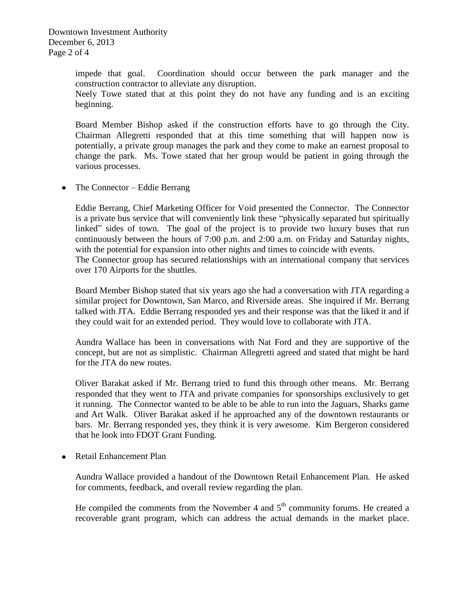Downtown Investment Authority December 6, 2013 Page 2 of 4

> impede that goal. Coordination should occur between the park manager and the construction contractor to alleviate any disruption.

> Neely Towe stated that at this point they do not have any funding and is an exciting beginning.

> Board Member Bishop asked if the construction efforts have to go through the City. Chairman Allegretti responded that at this time something that will happen now is potentially, a private group manages the park and they come to make an earnest proposal to change the park. Ms. Towe stated that her group would be patient in going through the various processes.

The Connector – Eddie Berrang  $\bullet$ 

> Eddie Berrang, Chief Marketing Officer for Void presented the Connector. The Connector is a private bus service that will conveniently link these "physically separated but spiritually linked" sides of town. The goal of the project is to provide two luxury buses that run continuously between the hours of 7:00 p.m. and 2:00 a.m. on Friday and Saturday nights, with the potential for expansion into other nights and times to coincide with events. The Connector group has secured relationships with an international company that services over 170 Airports for the shuttles.

> Board Member Bishop stated that six years ago she had a conversation with JTA regarding a similar project for Downtown, San Marco, and Riverside areas. She inquired if Mr. Berrang talked with JTA. Eddie Berrang responded yes and their response was that the liked it and if they could wait for an extended period. They would love to collaborate with JTA.

> Aundra Wallace has been in conversations with Nat Ford and they are supportive of the concept, but are not as simplistic. Chairman Allegretti agreed and stated that might be hard for the JTA do new routes.

> Oliver Barakat asked if Mr. Berrang tried to fund this through other means. Mr. Berrang responded that they went to JTA and private companies for sponsorships exclusively to get it running. The Connector wanted to be able to be able to run into the Jaguars, Sharks game and Art Walk. Oliver Barakat asked if he approached any of the downtown restaurants or bars. Mr. Berrang responded yes, they think it is very awesome. Kim Bergeron considered that he look into FDOT Grant Funding.

• Retail Enhancement Plan

Aundra Wallace provided a handout of the Downtown Retail Enhancement Plan. He asked for comments, feedback, and overall review regarding the plan.

He compiled the comments from the November 4 and  $5<sup>th</sup>$  community forums. He created a recoverable grant program, which can address the actual demands in the market place.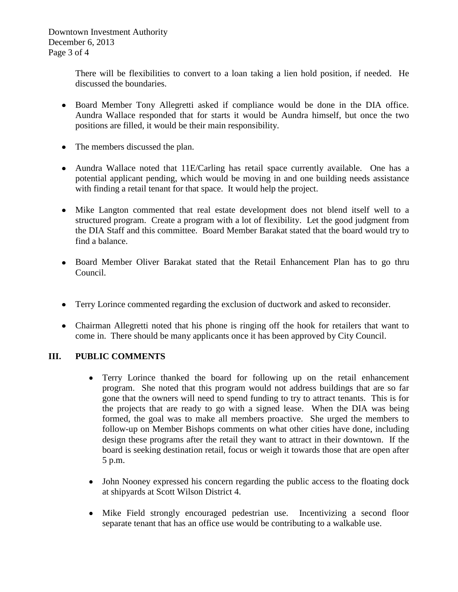Downtown Investment Authority December 6, 2013 Page 3 of 4

> There will be flexibilities to convert to a loan taking a lien hold position, if needed. He discussed the boundaries.

- Board Member Tony Allegretti asked if compliance would be done in the DIA office. Aundra Wallace responded that for starts it would be Aundra himself, but once the two positions are filled, it would be their main responsibility.
- The members discussed the plan.
- Aundra Wallace noted that 11E/Carling has retail space currently available. One has a potential applicant pending, which would be moving in and one building needs assistance with finding a retail tenant for that space. It would help the project.
- Mike Langton commented that real estate development does not blend itself well to a structured program. Create a program with a lot of flexibility. Let the good judgment from the DIA Staff and this committee. Board Member Barakat stated that the board would try to find a balance.
- Board Member Oliver Barakat stated that the Retail Enhancement Plan has to go thru Council.
- Terry Lorince commented regarding the exclusion of ductwork and asked to reconsider.
- Chairman Allegretti noted that his phone is ringing off the hook for retailers that want to come in. There should be many applicants once it has been approved by City Council.

# **III. PUBLIC COMMENTS**

- Terry Lorince thanked the board for following up on the retail enhancement program. She noted that this program would not address buildings that are so far gone that the owners will need to spend funding to try to attract tenants. This is for the projects that are ready to go with a signed lease. When the DIA was being formed, the goal was to make all members proactive. She urged the members to follow-up on Member Bishops comments on what other cities have done, including design these programs after the retail they want to attract in their downtown. If the board is seeking destination retail, focus or weigh it towards those that are open after 5 p.m.
- John Nooney expressed his concern regarding the public access to the floating dock  $\bullet$ at shipyards at Scott Wilson District 4.
- Mike Field strongly encouraged pedestrian use. Incentivizing a second floor  $\bullet$ separate tenant that has an office use would be contributing to a walkable use.